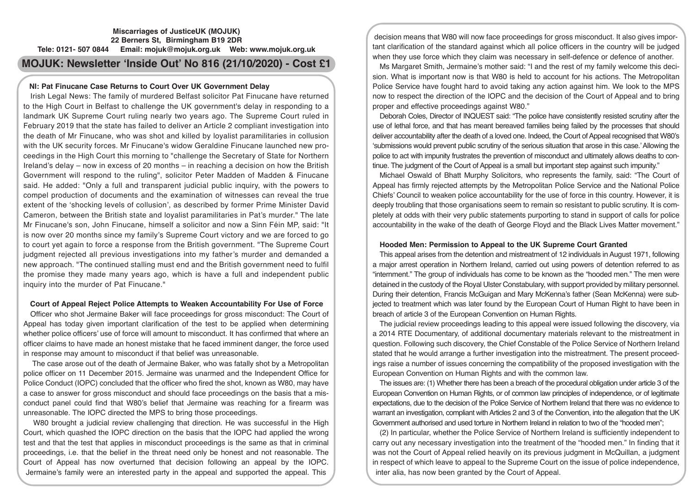# **Miscarriages of JusticeUK (MOJUK) 22 Berners St, Birmingham B19 2DR Tele: 0121- 507 0844 Email: mojuk@mojuk.org.uk Web: www.mojuk.org.uk**

# **MOJUK: Newsletter 'Inside Out' No 816 (21/10/2020) - Cost £1**

# **NI: Pat Finucane Case Returns to Court Over UK Government Delay**

Irish Legal News: The family of murdered Belfast solicitor Pat Finucane have returned to the High Court in Belfast to challenge the UK government's delay in responding to a landmark UK Supreme Court ruling nearly two years ago. The Supreme Court ruled in February 2019 that the state has failed to deliver an Article 2 compliant investigation into the death of Mr Finucane, who was shot and killed by loyalist paramilitaries in collusion with the UK security forces. Mr Finucane's widow Geraldine Finucane launched new proceedings in the High Court this morning to "challenge the Secretary of State for Northern Ireland's delay – now in excess of 20 months – in reaching a decision on how the British Government will respond to the ruling", solicitor Peter Madden of Madden & Finucane said. He added: "Only a full and transparent judicial public inquiry, with the powers to compel production of documents and the examination of witnesses can reveal the true extent of the 'shocking levels of collusion', as described by former Prime Minister David Cameron, between the British state and loyalist paramilitaries in Pat's murder." The late Mr Finucane's son, John Finucane, himself a solicitor and now a Sinn Féin MP, said: "It is now over 20 months since my family's Supreme Court victory and we are forced to go to court yet again to force a response from the British government. "The Supreme Court judgment rejected all previous investigations into my father's murder and demanded a new approach. "The continued stalling must end and the British government need to fulfil the promise they made many years ago, which is have a full and independent public inquiry into the murder of Pat Finucane."

# **Court of Appeal Reject Police Attempts to Weaken Accountability For Use of Force**

Officer who shot Jermaine Baker will face proceedings for gross misconduct: The Court of Appeal has today given important clarification of the test to be applied when determining whether police officers' use of force will amount to misconduct. It has confirmed that where an officer claims to have made an honest mistake that he faced imminent danger, the force used in response may amount to misconduct if that belief was unreasonable.

 The case arose out of the death of Jermaine Baker, who was fatally shot by a Metropolitan police officer on 11 December 2015. Jermaine was unarmed and the Independent Office for Police Conduct (IOPC) concluded that the officer who fired the shot, known as W80, may have a case to answer for gross misconduct and should face proceedings on the basis that a misconduct panel could find that W80's belief that Jermaine was reaching for a firearm was unreasonable. The IOPC directed the MPS to bring those proceedings.

 W80 brought a judicial review challenging that direction. He was successful in the High Court, which quashed the IOPC direction on the basis that the IOPC had applied the wrong test and that the test that applies in misconduct proceedings is the same as that in criminal proceedings, i.e. that the belief in the threat need only be honest and not reasonable. The Court of Appeal has now overturned that decision following an appeal by the IOPC. Jermaine's family were an interested party in the appeal and supported the appeal. This

decision means that W80 will now face proceedings for gross misconduct. It also gives important clarification of the standard against which all police officers in the country will be judged when they use force which they claim was necessary in self-defence or defence of another.

Ms Margaret Smith, Jermaine's mother said: "I and the rest of my family welcome this decision. What is important now is that W80 is held to account for his actions. The Metropolitan Police Service have fought hard to avoid taking any action against him. We look to the MPS now to respect the direction of the IOPC and the decision of the Court of Appeal and to bring proper and effective proceedings against W80."

Deborah Coles, Director of INQUEST said: "The police have consistently resisted scrutiny after the use of lethal force, and that has meant bereaved families being failed by the processes that should deliver accountability after the death of a loved one. Indeed, the Court of Appeal recognised that W80's 'submissions would prevent public scrutiny of the serious situation that arose in this case.' Allowing the police to act with impunity frustrates the prevention of misconduct and ultimately allows deaths to continue. The judgment of the Court of Appeal is a small but important step against such impunity."

Michael Oswald of Bhatt Murphy Solicitors, who represents the family, said: "The Court of Appeal has firmly rejected attempts by the Metropolitan Police Service and the National Police Chiefs' Council to weaken police accountability for the use of force in this country. However, it is deeply troubling that those organisations seem to remain so resistant to public scrutiny. It is completely at odds with their very public statements purporting to stand in support of calls for police accountability in the wake of the death of George Floyd and the Black Lives Matter movement."

## **Hooded Men: Permission to Appeal to the UK Supreme Court Granted**

This appeal arises from the detention and mistreatment of 12 individuals in August 1971, following a major arrest operation in Northern Ireland, carried out using powers of detention referred to as "internment." The group of individuals has come to be known as the "hooded men." The men were detained in the custody of the Royal Ulster Constabulary, with support provided by military personnel. During their detention, Francis McGuigan and Mary McKenna's father (Sean McKenna) were subjected to treatment which was later found by the European Court of Human Right to have been in breach of article 3 of the European Convention on Human Rights.

The judicial review proceedings leading to this appeal were issued following the discovery, via a 2014 RTE Documentary, of additional documentary materials relevant to the mistreatment in question. Following such discovery, the Chief Constable of the Police Service of Northern Ireland stated that he would arrange a further investigation into the mistreatment. The present proceedings raise a number of issues concerning the compatibility of the proposed investigation with the European Convention on Human Rights and with the common law.

The issues are: (1) Whether there has been a breach of the procedural obligation under article 3 of the European Convention on Human Rights, or of common law principles of independence, or of legitimate expectations, due to the decision of the Police Service of Northern Ireland that there was no evidence to warrant an investigation, compliant with Articles 2 and 3 of the Convention, into the allegation that the UK Government authorised and used torture in Northern Ireland in relation to two of the "hooded men";

(2) In particular, whether the Police Service of Northern Ireland is sufficiently independent to carry out any necessary investigation into the treatment of the "hooded men." In finding that it was not the Court of Appeal relied heavily on its previous judgment in McQuillan, a judgment in respect of which leave to appeal to the Supreme Court on the issue of police independence, inter alia, has now been granted by the Court of Appeal.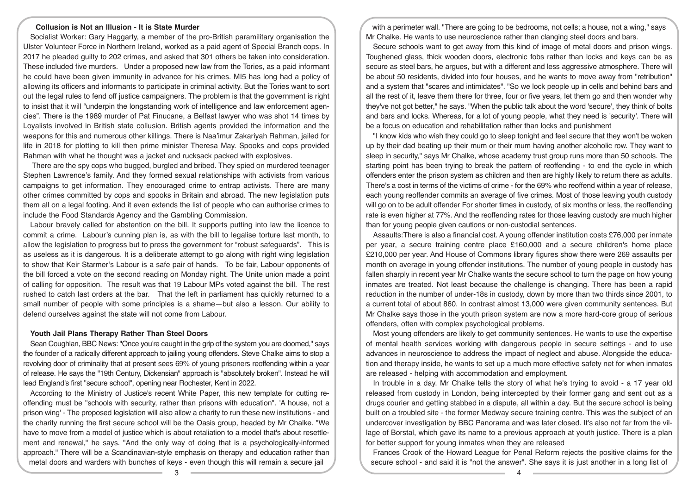## **Collusion is Not an Illusion - It is State Murder**

Socialist Worker: Gary Haggarty, a member of the pro-British paramilitary organisation the Ulster Volunteer Force in Northern Ireland, worked as a paid agent of Special Branch cops. In 2017 he pleaded guilty to 202 crimes, and asked that 301 others be taken into consideration. These included five murders. Under a proposed new law from the Tories, as a paid informant he could have been given immunity in advance for his crimes. MI5 has long had a policy of allowing its officers and informants to participate in criminal activity. But the Tories want to sort out the legal rules to fend off justice campaigners. The problem is that the government is right to insist that it will "underpin the longstanding work of intelligence and law enforcement agencies". There is the 1989 murder of Pat Finucane, a Belfast lawyer who was shot 14 times by Loyalists involved in British state collusion. British agents provided the information and the weapons for this and numerous other killings. There is Naa'imur Zakariyah Rahman, jailed for life in 2018 for plotting to kill then prime minister Theresa May. Spooks and cops provided Rahman with what he thought was a jacket and rucksack packed with explosives.

 There are the spy cops who bugged, burgled and bribed. They spied on murdered teenager Stephen Lawrence's family. And they formed sexual relationships with activists from various campaigns to get information. They encouraged crime to entrap activists. There are many other crimes committed by cops and spooks in Britain and abroad. The new legislation puts them all on a legal footing. And it even extends the list of people who can authorise crimes to include the Food Standards Agency and the Gambling Commission.

Labour bravely called for abstention on the bill. It supports putting into law the licence to commit a crime. Labour's cunning plan is, as with the bill to legalise torture last month, to allow the legislation to progress but to press the government for "robust safeguards". This is as useless as it is dangerous. It is a deliberate attempt to go along with right wing legislation to show that Keir Starmer's Labour is a safe pair of hands. To be fair, Labour opponents of the bill forced a vote on the second reading on Monday night. The Unite union made a point of calling for opposition. The result was that 19 Labour MPs voted against the bill. The rest rushed to catch last orders at the bar. That the left in parliament has quickly returned to a small number of people with some principles is a shame—but also a lesson. Our ability to defend ourselves against the state will not come from Labour.

#### **Youth Jail Plans Therapy Rather Than Steel Doors**

Sean Coughlan, BBC News: "Once you're caught in the grip of the system you are doomed," says the founder of a radically different approach to jailing young offenders. Steve Chalke aims to stop a revolving door of criminality that at present sees 69% of young prisoners reoffending within a year of release. He says the "19th Century, Dickensian" approach is "absolutely broken". Instead he will lead England's first "secure school", opening near Rochester, Kent in 2022.

According to the Ministry of Justice's recent White Paper, this new template for cutting reoffending must be "schools with security, rather than prisons with education". 'A house, not a prison wing' - The proposed legislation will also allow a charity to run these new institutions - and the charity running the first secure school will be the Oasis group, headed by Mr Chalke. "We have to move from a model of justice which is about retaliation to a model that's about resettlement and renewal," he says. "And the only way of doing that is a psychologically-informed approach." There will be a Scandinavian-style emphasis on therapy and education rather than metal doors and warders with bunches of keys - even though this will remain a secure jail

with a perimeter wall. "There are going to be bedrooms, not cells; a house, not a wing," says Mr Chalke. He wants to use neuroscience rather than clanging steel doors and bars.

Secure schools want to get away from this kind of image of metal doors and prison wings. Toughened glass, thick wooden doors, electronic fobs rather than locks and keys can be as secure as steel bars, he argues, but with a different and less aggressive atmosphere. There will be about 50 residents, divided into four houses, and he wants to move away from "retribution" and a system that "scares and intimidates". "So we lock people up in cells and behind bars and all the rest of it, leave them there for three, four or five years, let them go and then wonder why they've not got better," he says. "When the public talk about the word 'secure', they think of bolts and bars and locks. Whereas, for a lot of young people, what they need is 'security'. There will be a focus on education and rehabilitation rather than locks and punishment

"I know kids who wish they could go to sleep tonight and feel secure that they won't be woken up by their dad beating up their mum or their mum having another alcoholic row. They want to sleep in security," says Mr Chalke, whose academy trust group runs more than 50 schools. The starting point has been trying to break the pattern of reoffending - to end the cycle in which offenders enter the prison system as children and then are highly likely to return there as adults. There's a cost in terms of the victims of crime - for the 69% who reoffend within a year of release, each young reoffender commits an average of five crimes. Most of those leaving youth custody will go on to be adult offender For shorter times in custody, of six months or less, the reoffending rate is even higher at 77%. And the reoffending rates for those leaving custody are much higher than for young people given cautions or non-custodial sentences.

Assaults:There is also a financial cost. A young offender institution costs £76,000 per inmate per year, a secure training centre place £160,000 and a secure children's home place £210,000 per year. And House of Commons library figures show there were 269 assaults per month on average in young offender institutions. The number of young people in custody has fallen sharply in recent year Mr Chalke wants the secure school to turn the page on how young inmates are treated. Not least because the challenge is changing. There has been a rapid reduction in the number of under-18s in custody, down by more than two thirds since 2001, to a current total of about 860. In contrast almost 13,000 were given community sentences. But Mr Chalke says those in the youth prison system are now a more hard-core group of serious offenders, often with complex psychological problems.

Most young offenders are likely to get community sentences. He wants to use the expertise of mental health services working with dangerous people in secure settings - and to use advances in neuroscience to address the impact of neglect and abuse. Alongside the education and therapy inside, he wants to set up a much more effective safety net for when inmates are released - helping with accommodation and employment.

In trouble in a day. Mr Chalke tells the story of what he's trying to avoid - a 17 year old released from custody in London, being intercepted by their former gang and sent out as a drugs courier and getting stabbed in a dispute, all within a day. But the secure school is being built on a troubled site - the former Medway secure training centre. This was the subject of an undercover investigation by BBC Panorama and was later closed. It's also not far from the village of Borstal, which gave its name to a previous approach at youth justice. There is a plan for better support for young inmates when they are released

Frances Crook of the Howard League for Penal Reform rejects the positive claims for the secure school - and said it is "not the answer". She says it is just another in a long list of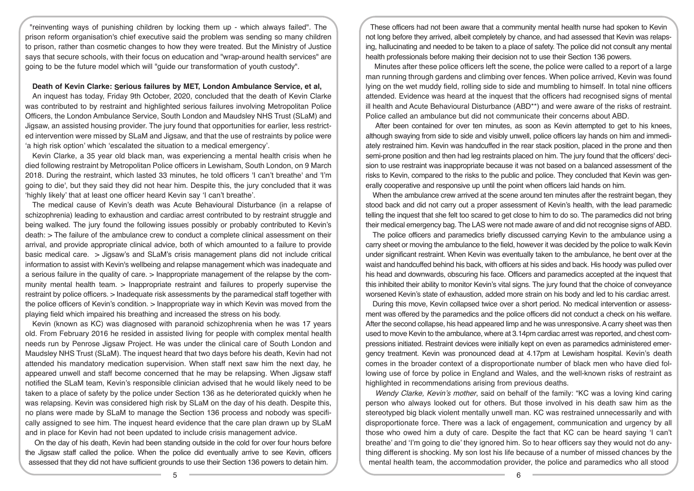"reinventing ways of punishing children by locking them up - which always failed". The prison reform organisation's chief executive said the problem was sending so many children to prison, rather than cosmetic changes to how they were treated. But the Ministry of Justice says that secure schools, with their focus on education and "wrap-around health services" are going to be the future model which will "guide our transformation of youth custody".

### **Death of Kevin Clarke: Serious failures by MET, London Ambulance Service, et al,**

An inquest has today, Friday 9th October, 2020, concluded that the death of Kevin Clarke was contributed to by restraint and highlighted serious failures involving Metropolitan Police Officers, the London Ambulance Service, South London and Maudsley NHS Trust (SLaM) and Jigsaw, an assisted housing provider. The jury found that opportunities for earlier, less restricted intervention were missed by SLaM and Jigsaw, and that the use of restraints by police were 'a high risk option' which 'escalated the situation to a medical emergency'.

Kevin Clarke, a 35 year old black man, was experiencing a mental health crisis when he died following restraint by Metropolitan Police officers in Lewisham, South London, on 9 March 2018. During the restraint, which lasted 33 minutes, he told officers 'I can't breathe' and 'I'm going to die', but they said they did not hear him. Despite this, the jury concluded that it was 'highly likely' that at least one officer heard Kevin say 'I can't breathe'.

The medical cause of Kevin's death was Acute Behavioural Disturbance (in a relapse of schizophrenia) leading to exhaustion and cardiac arrest contributed to by restraint struggle and being walked. The jury found the following issues possibly or probably contributed to Kevin's death: > The failure of the ambulance crew to conduct a complete clinical assessment on their arrival, and provide appropriate clinical advice, both of which amounted to a failure to provide basic medical care. > Jigsaw's and SLaM's crisis management plans did not include critical information to assist with Kevin's wellbeing and relapse management which was inadequate and a serious failure in the quality of care. > Inappropriate management of the relapse by the community mental health team. > Inappropriate restraint and failures to properly supervise the restraint by police officers. > Inadequate risk assessments by the paramedical staff together with the police officers of Kevin's condition. > Inappropriate way in which Kevin was moved from the playing field which impaired his breathing and increased the stress on his body.

Kevin (known as KC) was diagnosed with paranoid schizophrenia when he was 17 years old. From February 2016 he resided in assisted living for people with complex mental health needs run by Penrose Jigsaw Project. He was under the clinical care of South London and Maudsley NHS Trust (SLaM). The inquest heard that two days before his death, Kevin had not attended his mandatory medication supervision. When staff next saw him the next day, he appeared unwell and staff become concerned that he may be relapsing. When Jigsaw staff notified the SLaM team, Kevin's responsible clinician advised that he would likely need to be taken to a place of safety by the police under Section 136 as he deteriorated quickly when he was relapsing. Kevin was considered high risk by SLaM on the day of his death. Despite this, no plans were made by SLaM to manage the Section 136 process and nobody was specifically assigned to see him. The inquest heard evidence that the care plan drawn up by SLaM and in place for Kevin had not been updated to include crisis management advice.

 On the day of his death, Kevin had been standing outside in the cold for over four hours before the Jigsaw staff called the police. When the police did eventually arrive to see Kevin, officers assessed that they did not have sufficient grounds to use their Section 136 powers to detain him.

These officers had not been aware that a community mental health nurse had spoken to Kevin not long before they arrived, albeit completely by chance, and had assessed that Kevin was relapsing, hallucinating and needed to be taken to a place of safety. The police did not consult any mental health professionals before making their decision not to use their Section 136 powers.

 Minutes after these police officers left the scene, the police were called to a report of a large man running through gardens and climbing over fences. When police arrived, Kevin was found lying on the wet muddy field, rolling side to side and mumbling to himself. In total nine officers attended. Evidence was heard at the inquest that the officers had recognised signs of mental ill health and Acute Behavioural Disturbance (ABD\*\*) and were aware of the risks of restraint. Police called an ambulance but did not communicate their concerns about ABD.

 After been contained for over ten minutes, as soon as Kevin attempted to get to his knees, although swaying from side to side and visibly unwell, police officers lay hands on him and immediately restrained him. Kevin was handcuffed in the rear stack position, placed in the prone and then semi-prone position and then had leg restraints placed on him. The jury found that the officers' decision to use restraint was inappropriate because it was not based on a balanced assessment of the risks to Kevin, compared to the risks to the public and police. They concluded that Kevin was generally cooperative and responsive up until the point when officers laid hands on him.

When the ambulance crew arrived at the scene around ten minutes after the restraint began, they stood back and did not carry out a proper assessment of Kevin's health, with the lead paramedic telling the inquest that she felt too scared to get close to him to do so. The paramedics did not bring their medical emergency bag. The LAS were not made aware of and did not recognise signs of ABD.

The police officers and paramedics briefly discussed carrying Kevin to the ambulance using a carry sheet or moving the ambulance to the field, however it was decided by the police to walk Kevin under significant restraint. When Kevin was eventually taken to the ambulance, he bent over at the waist and handcuffed behind his back, with officers at his sides and back. His hoody was pulled over his head and downwards, obscuring his face. Officers and paramedics accepted at the inquest that this inhibited their ability to monitor Kevin's vital signs. The jury found that the choice of conveyance worsened Kevin's state of exhaustion, added more strain on his body and led to his cardiac arrest.

During this move, Kevin collapsed twice over a short period. No medical intervention or assessment was offered by the paramedics and the police officers did not conduct a check on his welfare. After the second collapse, his head appeared limp and he was unresponsive. A carry sheet was then used to move Kevin to the ambulance, where at 3.14pm cardiac arrest was reported, and chest compressions initiated. Restraint devices were initially kept on even as paramedics administered emergency treatment. Kevin was pronounced dead at 4.17pm at Lewisham hospital. Kevin's death comes in the broader context of a disproportionate number of black men who have died following use of force by police in England and Wales, and the well-known risks of restraint as highlighted in recommendations arising from previous deaths.

*Wendy Clarke, Kevin's mother*, said on behalf of the family: "KC was a loving kind caring person who always looked out for others. But those involved in his death saw him as the stereotyped big black violent mentally unwell man. KC was restrained unnecessarily and with disproportionate force. There was a lack of engagement, communication and urgency by all those who owed him a duty of care. Despite the fact that KC can be heard saying 'I can't breathe' and 'I'm going to die' they ignored him. So to hear officers say they would not do anything different is shocking. My son lost his life because of a number of missed chances by the mental health team, the accommodation provider, the police and paramedics who all stood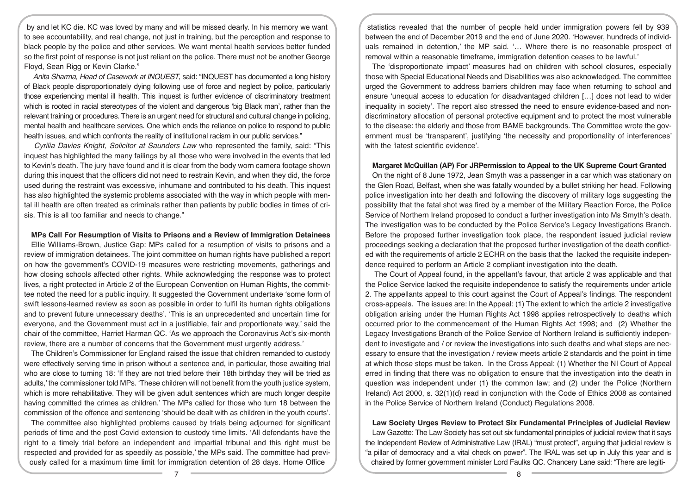by and let KC die. KC was loved by many and will be missed dearly. In his memory we want to see accountability, and real change, not just in training, but the perception and response to black people by the police and other services. We want mental health services better funded so the first point of response is not just reliant on the police. There must not be another George Floyd, Sean Rigg or Kevin Clarke."

*Anita Sharma, Head of Casework at INQUEST*, said: "INQUEST has documented a long history of Black people disproportionately dying following use of force and neglect by police, particularly those experiencing mental ill health. This inquest is further evidence of discriminatory treatment which is rooted in racial stereotypes of the violent and dangerous 'big Black man', rather than the relevant training or procedures. There is an urgent need for structural and cultural change in policing, mental health and healthcare services. One which ends the reliance on police to respond to public health issues, and which confronts the reality of institutional racism in our public services."

*Cyrilia Davies Knight, Solicitor at Saunders Law* who represented the family, said: "This inquest has highlighted the many failings by all those who were involved in the events that led to Kevin's death. The jury have found and it is clear from the body worn camera footage shown during this inquest that the officers did not need to restrain Kevin, and when they did, the force used during the restraint was excessive, inhumane and contributed to his death. This inquest has also highlighted the systemic problems associated with the way in which people with mental ill health are often treated as criminals rather than patients by public bodies in times of crisis. This is all too familiar and needs to change."

#### **MPs Call For Resumption of Visits to Prisons and a Review of Immigration Detainees**

Ellie Williams-Brown, Justice Gap: MPs called for a resumption of visits to prisons and a review of immigration detainees. The joint committee on human rights have published a report on how the government's COVID-19 measures were restricting movements, gatherings and how closing schools affected other rights. While acknowledging the response was to protect lives, a right protected in Article 2 of the European Convention on Human Rights, the committee noted the need for a public inquiry. It suggested the Government undertake 'some form of swift lessons-learned review as soon as possible in order to fulfil its human rights obligations and to prevent future unnecessary deaths'. 'This is an unprecedented and uncertain time for everyone, and the Government must act in a justifiable, fair and proportionate way,' said the chair of the committee, Harriet Harman QC. 'As we approach the Coronavirus Act's six-month review, there are a number of concerns that the Government must urgently address.'

The Children's Commissioner for England raised the issue that children remanded to custody were effectively serving time in prison without a sentence and, in particular, those awaiting trial who are close to turning 18: 'If they are not tried before their 18th birthday they will be tried as adults,' the commissioner told MPs. 'These children will not benefit from the youth justice system, which is more rehabilitative. They will be given adult sentences which are much longer despite having committed the crimes as children.' The MPs called for those who turn 18 between the commission of the offence and sentencing 'should be dealt with as children in the youth courts'.

The committee also highlighted problems caused by trials being adjourned for significant periods of time and the post Covid extension to custody time limits. 'All defendants have the right to a timely trial before an independent and impartial tribunal and this right must be respected and provided for as speedily as possible,' the MPs said. The committee had previously called for a maximum time limit for immigration detention of 28 days. Home Office

statistics revealed that the number of people held under immigration powers fell by 939 between the end of December 2019 and the end of June 2020. 'However, hundreds of individuals remained in detention,' the MP said. '… Where there is no reasonable prospect of removal within a reasonable timeframe, immigration detention ceases to be lawful.'

The 'disproportionate impact' measures had on children with school closures, especially those with Special Educational Needs and Disabilities was also acknowledged. The committee urged the Government to address barriers children may face when returning to school and ensure 'unequal access to education for disadvantaged children […] does not lead to wider inequality in society'. The report also stressed the need to ensure evidence-based and nondiscriminatory allocation of personal protective equipment and to protect the most vulnerable to the disease: the elderly and those from BAME backgrounds. The Committee wrote the government must be 'transparent', justifying 'the necessity and proportionality of interferences' with the 'latest scientific evidence'.

#### **Margaret McQuillan (AP) For JRPermission to Appeal to the UK Supreme Court Granted**

On the night of 8 June 1972, Jean Smyth was a passenger in a car which was stationary on the Glen Road, Belfast, when she was fatally wounded by a bullet striking her head. Following police investigation into her death and following the discovery of military logs suggesting the possibility that the fatal shot was fired by a member of the Military Reaction Force, the Police Service of Northern Ireland proposed to conduct a further investigation into Ms Smyth's death. The investigation was to be conducted by the Police Service's Legacy Investigations Branch. Before the proposed further investigation took place, the respondent issued judicial review proceedings seeking a declaration that the proposed further investigation of the death conflicted with the requirements of article 2 ECHR on the basis that the lacked the requisite independence required to perform an Article 2 compliant investigation into the death.

 The Court of Appeal found, in the appellant's favour, that article 2 was applicable and that the Police Service lacked the requisite independence to satisfy the requirements under article 2. The appellants appeal to this court against the Court of Appeal's findings. The respondent cross-appeals. The issues are: In the Appeal: (1) The extent to which the article 2 investigative obligation arising under the Human Rights Act 1998 applies retrospectively to deaths which occurred prior to the commencement of the Human Rights Act 1998; and (2) Whether the Legacy Investigations Branch of the Police Service of Northern Ireland is sufficiently independent to investigate and / or review the investigations into such deaths and what steps are necessary to ensure that the investigation / review meets article 2 standards and the point in time at which those steps must be taken. In the Cross Appeal: (1) Whether the NI Court of Appeal erred in finding that there was no obligation to ensure that the investigation into the death in question was independent under (1) the common law; and (2) under the Police (Northern Ireland) Act 2000, s. 32(1)(d) read in conjunction with the Code of Ethics 2008 as contained in the Police Service of Northern Ireland (Conduct) Regulations 2008.

**Law Society Urges Review to Protect Six Fundamental Principles of Judicial Review** Law Gazette: The Law Society has set out six fundamental principles of judicial review that it says the Independent Review of Administrative Law (IRAL) "must protect", arguing that judicial review is "a pillar of democracy and a vital check on power". The IRAL was set up in July this year and is chaired by former government minister Lord Faulks QC. Chancery Lane said: "There are legiti-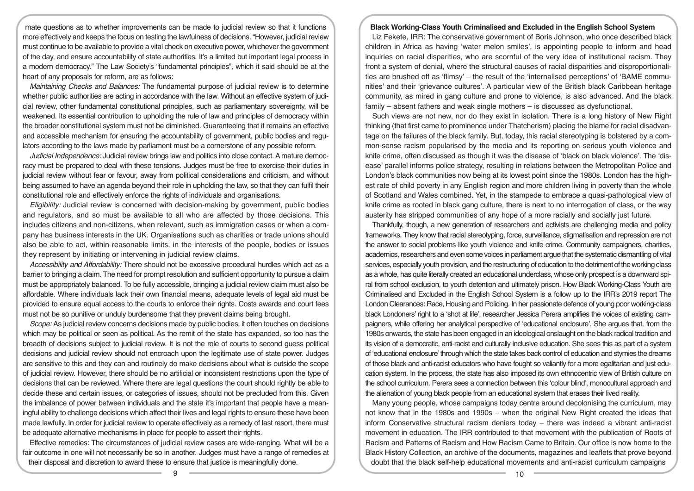mate questions as to whether improvements can be made to judicial review so that it functions more effectively and keeps the focus on testing the lawfulness of decisions. "However, judicial review must continue to be available to provide a vital check on executive power, whichever the government of the day, and ensure accountability of state authorities. It's a limited but important legal process in a modern democracy." The Law Society's "fundamental principles", which it said should be at the heart of any proposals for reform, are as follows:

*Maintaining Checks and Balances:* The fundamental purpose of judicial review is to determine whether public authorities are acting in accordance with the law. Without an effective system of judicial review, other fundamental constitutional principles, such as parliamentary sovereignty, will be weakened. Its essential contribution to upholding the rule of law and principles of democracy within the broader constitutional system must not be diminished. Guaranteeing that it remains an effective and accessible mechanism for ensuring the accountability of government, public bodies and regulators according to the laws made by parliament must be a cornerstone of any possible reform.

*Judicial Independence:* Judicial review brings law and politics into close contact. A mature democracy must be prepared to deal with these tensions. Judges must be free to exercise their duties in judicial review without fear or favour, away from political considerations and criticism, and without being assumed to have an agenda beyond their role in upholding the law, so that they can fulfil their constitutional role and effectively enforce the rights of individuals and organisations.

*Eligibility:* Judicial review is concerned with decision-making by government, public bodies and regulators, and so must be available to all who are affected by those decisions. This includes citizens and non-citizens, when relevant, such as immigration cases or when a company has business interests in the UK. Organisations such as charities or trade unions should also be able to act, within reasonable limits, in the interests of the people, bodies or issues they represent by initiating or intervening in judicial review claims.

*Accessibility and Affordability:* There should not be excessive procedural hurdles which act as a barrier to bringing a claim. The need for prompt resolution and sufficient opportunity to pursue a claim must be appropriately balanced. To be fully accessible, bringing a judicial review claim must also be affordable. Where individuals lack their own financial means, adequate levels of legal aid must be provided to ensure equal access to the courts to enforce their rights. Costs awards and court fees must not be so punitive or unduly burdensome that they prevent claims being brought.

*Scope:* As judicial review concerns decisions made by public bodies, it often touches on decisions which may be political or seen as political. As the remit of the state has expanded, so too has the breadth of decisions subject to judicial review. It is not the role of courts to second guess political decisions and judicial review should not encroach upon the legitimate use of state power. Judges are sensitive to this and they can and routinely do make decisions about what is outside the scope of judicial review. However, there should be no artificial or inconsistent restrictions upon the type of decisions that can be reviewed. Where there are legal questions the court should rightly be able to decide these and certain issues, or categories of issues, should not be precluded from this. Given the imbalance of power between individuals and the state it's important that people have a meaningful ability to challenge decisions which affect their lives and legal rights to ensure these have been made lawfully. In order for judicial review to operate effectively as a remedy of last resort, there must be adequate alternative mechanisms in place for people to assert their rights.

Effective remedies: The circumstances of judicial review cases are wide-ranging. What will be a fair outcome in one will not necessarily be so in another. Judges must have a range of remedies at their disposal and discretion to award these to ensure that justice is meaningfully done.

## **Black Working-Class Youth Criminalised and Excluded in the English School System**

Liz Fekete, IRR: The conservative government of Boris Johnson, who once described black children in Africa as having 'water melon smiles', is appointing people to inform and head inquiries on racial disparities, who are scornful of the very idea of institutional racism. They front a system of denial, where the structural causes of racial disparities and disproportionalities are brushed off as 'flimsy' – the result of the 'internalised perceptions' of 'BAME communities' and their 'grievance cultures'. A particular view of the British black Caribbean heritage community, as mired in gang culture and prone to violence, is also advanced. And the black family – absent fathers and weak single mothers – is discussed as dysfunctional.

Such views are not new, nor do they exist in isolation. There is a long history of New Right thinking (that first came to prominence under Thatcherism) placing the blame for racial disadvantage on the failures of the black family. But, today, this racial stereotyping is bolstered by a common-sense racism popularised by the media and its reporting on serious youth violence and knife crime, often discussed as though it was the disease of 'black on black violence'. The 'disease' parallel informs police strategy, resulting in relations between the Metropolitan Police and London's black communities now being at its lowest point since the 1980s. London has the highest rate of child poverty in any English region and more children living in poverty than the whole of Scotland and Wales combined. Yet, in the stampede to embrace a quasi-pathological view of knife crime as rooted in black gang culture, there is next to no interrogation of class, or the way austerity has stripped communities of any hope of a more racially and socially just future.

Thankfully, though, a new generation of researchers and activists are challenging media and policy frameworks. They know that racial stereotyping, force, surveillance, stigmatisation and repression are not the answer to social problems like youth violence and knife crime. Community campaigners, charities, academics, researchers and even some voices in parliament argue that the systematic dismantling of vital services, especially youth provision, and the restructuring of education to the detriment of the working class as a whole, has quite literally created an educational underclass, whose only prospect is a downward spiral from school exclusion, to youth detention and ultimately prison. How Black Working-Class Youth are Criminalised and Excluded in the English School System is a follow up to the IRR's 2019 report The London Clearances: Race, Housing and Policing. In her passionate defence of young poor working-class black Londoners' right to a 'shot at life', researcher Jessica Perera amplifies the voices of existing campaigners, while offering her analytical perspective of 'educational enclosure'. She argues that, from the 1980s onwards, the state has been engaged in an ideological onslaught on the black radical tradition and its vision of a democratic, anti-racist and culturally inclusive education. She sees this as part of a system of 'educational enclosure' through which the state takes back control of education and stymies the dreams of those black and anti-racist educators who have fought so valiantly for a more egalitarian and just education system. In the process, the state has also imposed its own ethnocentric view of British culture on the school curriculum. Perera sees a connection between this 'colour blind', monocultural approach and the alienation of young black people from an educational system that erases their lived reality.

Many young people, whose campaigns today centre around decolonising the curriculum, may not know that in the 1980s and 1990s – when the original New Right created the ideas that inform Conservative structural racism deniers today – there was indeed a vibrant anti-racist movement in education. The IRR contributed to that movement with the publication of Roots of Racism and Patterns of Racism and How Racism Came to Britain. Our office is now home to the Black History Collection, an archive of the documents, magazines and leaflets that prove beyond doubt that the black self-help educational movements and anti-racist curriculum campaigns